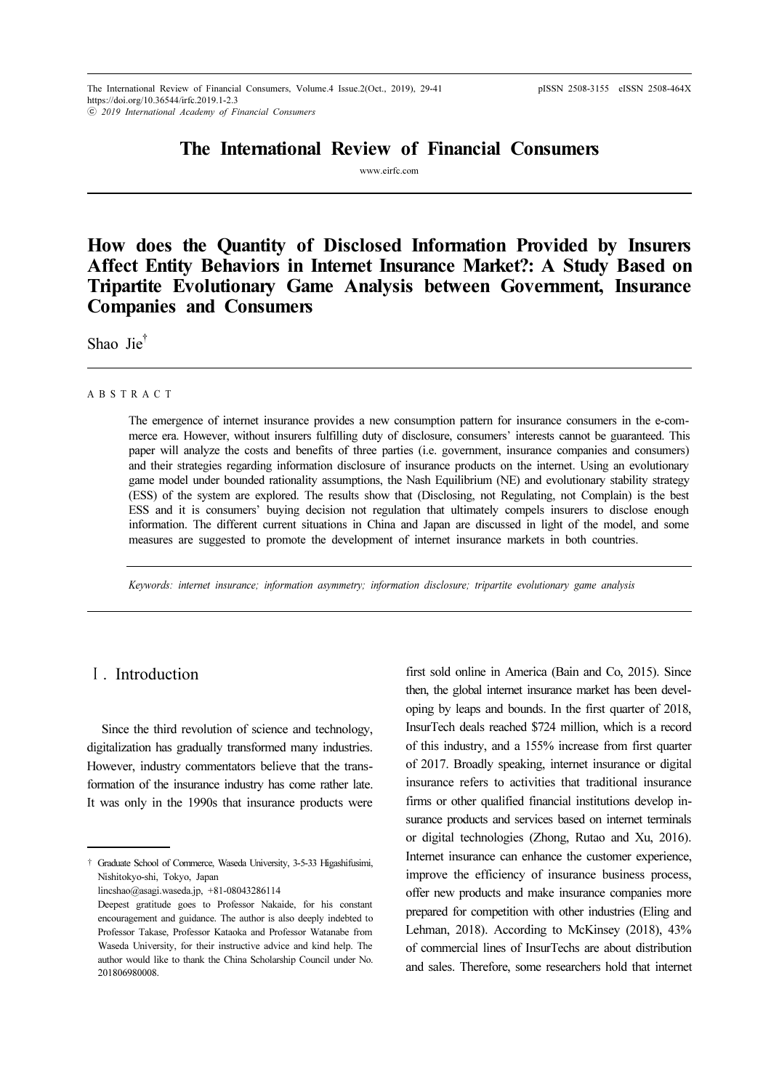# The International Review of Financial Consumers

www.eirfc.com

How does the Quantity of Disclosed Information Provided by Insurers Affect Entity Behaviors in Internet Insurance Market?: A Study Based on Tripartite Evolutionary Game Analysis between Government, Insurance Companies and Consumers

Shao Jie<sup>†</sup>

#### A B S T R A C T

The emergence of internet insurance provides a new consumption pattern for insurance consumers in the e-commerce era. However, without insurers fulfilling duty of disclosure, consumers' interests cannot be guaranteed. This paper will analyze the costs and benefits of three parties (i.e. government, insurance companies and consumers) and their strategies regarding information disclosure of insurance products on the internet. Using an evolutionary game model under bounded rationality assumptions, the Nash Equilibrium (NE) and evolutionary stability strategy (ESS) of the system are explored. The results show that (Disclosing, not Regulating, not Complain) is the best ESS and it is consumers' buying decision not regulation that ultimately compels insurers to disclose enough information. The different current situations in China and Japan are discussed in light of the model, and some measures are suggested to promote the development of internet insurance markets in both countries.

Keywords: internet insurance; information asymmetry; information disclosure; tripartite evolutionary game analysis

# Ⅰ. Introduction

Since the third revolution of science and technology, digitalization has gradually transformed many industries. However, industry commentators believe that the transformation of the insurance industry has come rather late. It was only in the 1990s that insurance products were

lincshao@asagi.waseda.jp, +81-08043286114

first sold online in America (Bain and Co, 2015). Since then, the global internet insurance market has been developing by leaps and bounds. In the first quarter of 2018, InsurTech deals reached \$724 million, which is a record of this industry, and a 155% increase from first quarter of 2017. Broadly speaking, internet insurance or digital insurance refers to activities that traditional insurance firms or other qualified financial institutions develop insurance products and services based on internet terminals or digital technologies (Zhong, Rutao and Xu, 2016). Internet insurance can enhance the customer experience, improve the efficiency of insurance business process, offer new products and make insurance companies more prepared for competition with other industries (Eling and Lehman, 2018). According to McKinsey (2018), 43% of commercial lines of InsurTechs are about distribution and sales. Therefore, some researchers hold that internet

<sup>†</sup> Graduate School of Commerce, Waseda University, 3-5-33 Higashifusimi, Nishitokyo-shi, Tokyo, Japan

Deepest gratitude goes to Professor Nakaide, for his constant encouragement and guidance. The author is also deeply indebted to Professor Takase, Professor Kataoka and Professor Watanabe from Waseda University, for their instructive advice and kind help. The author would like to thank the China Scholarship Council under No. 201806980008.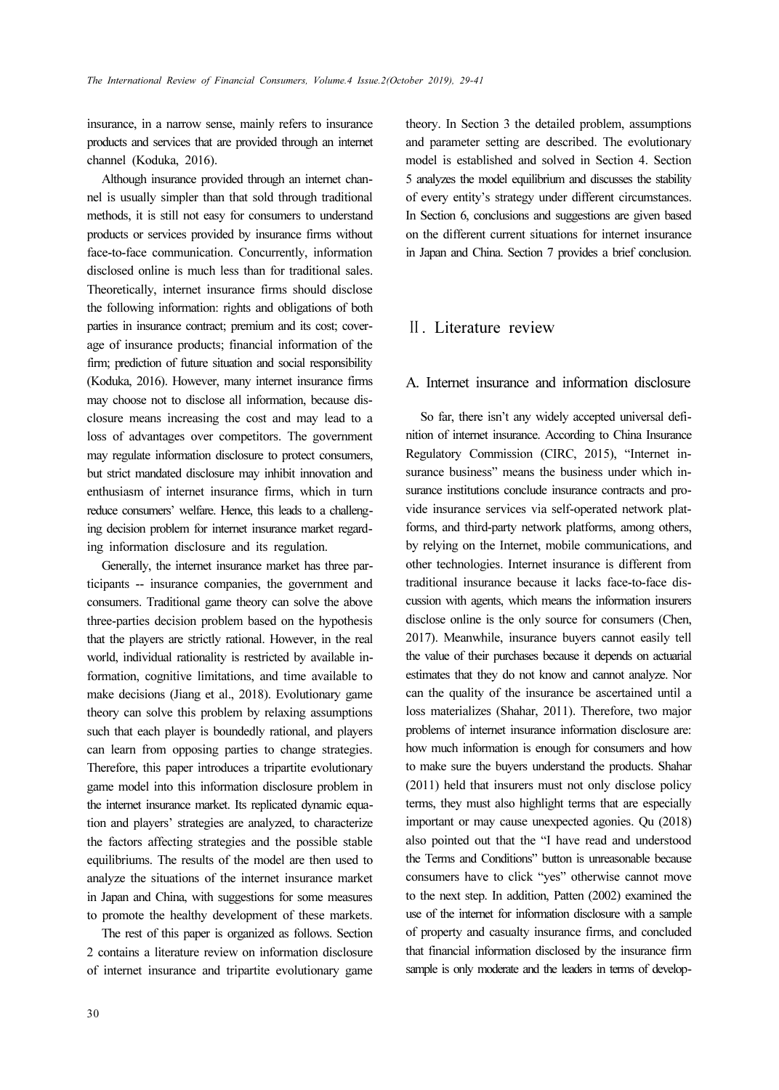insurance, in a narrow sense, mainly refers to insurance products and services that are provided through an internet channel (Koduka, 2016).

Although insurance provided through an internet channel is usually simpler than that sold through traditional methods, it is still not easy for consumers to understand products or services provided by insurance firms without face-to-face communication. Concurrently, information disclosed online is much less than for traditional sales. Theoretically, internet insurance firms should disclose the following information: rights and obligations of both parties in insurance contract; premium and its cost; coverage of insurance products; financial information of the firm; prediction of future situation and social responsibility (Koduka, 2016). However, many internet insurance firms may choose not to disclose all information, because disclosure means increasing the cost and may lead to a loss of advantages over competitors. The government may regulate information disclosure to protect consumers, but strict mandated disclosure may inhibit innovation and enthusiasm of internet insurance firms, which in turn reduce consumers' welfare. Hence, this leads to a challenging decision problem for internet insurance market regarding information disclosure and its regulation.

Generally, the internet insurance market has three participants -- insurance companies, the government and consumers. Traditional game theory can solve the above three-parties decision problem based on the hypothesis that the players are strictly rational. However, in the real world, individual rationality is restricted by available information, cognitive limitations, and time available to make decisions (Jiang et al., 2018). Evolutionary game theory can solve this problem by relaxing assumptions such that each player is boundedly rational, and players can learn from opposing parties to change strategies. Therefore, this paper introduces a tripartite evolutionary game model into this information disclosure problem in the internet insurance market. Its replicated dynamic equation and players' strategies are analyzed, to characterize the factors affecting strategies and the possible stable equilibriums. The results of the model are then used to analyze the situations of the internet insurance market in Japan and China, with suggestions for some measures to promote the healthy development of these markets.

The rest of this paper is organized as follows. Section 2 contains a literature review on information disclosure of internet insurance and tripartite evolutionary game theory. In Section 3 the detailed problem, assumptions and parameter setting are described. The evolutionary model is established and solved in Section 4. Section 5 analyzes the model equilibrium and discusses the stability of every entity's strategy under different circumstances. In Section 6, conclusions and suggestions are given based on the different current situations for internet insurance in Japan and China. Section 7 provides a brief conclusion.

# Ⅱ. Literature review

#### A. Internet insurance and information disclosure

So far, there isn't any widely accepted universal definition of internet insurance. According to China Insurance Regulatory Commission (CIRC, 2015), "Internet insurance business" means the business under which insurance institutions conclude insurance contracts and provide insurance services via self-operated network platforms, and third-party network platforms, among others, by relying on the Internet, mobile communications, and other technologies. Internet insurance is different from traditional insurance because it lacks face-to-face discussion with agents, which means the information insurers disclose online is the only source for consumers (Chen, 2017). Meanwhile, insurance buyers cannot easily tell the value of their purchases because it depends on actuarial estimates that they do not know and cannot analyze. Nor can the quality of the insurance be ascertained until a loss materializes (Shahar, 2011). Therefore, two major problems of internet insurance information disclosure are: how much information is enough for consumers and how to make sure the buyers understand the products. Shahar (2011) held that insurers must not only disclose policy terms, they must also highlight terms that are especially important or may cause unexpected agonies. Qu (2018) also pointed out that the "I have read and understood the Terms and Conditions" button is unreasonable because consumers have to click "yes" otherwise cannot move to the next step. In addition, Patten (2002) examined the use of the internet for information disclosure with a sample of property and casualty insurance firms, and concluded that financial information disclosed by the insurance firm sample is only moderate and the leaders in terms of develop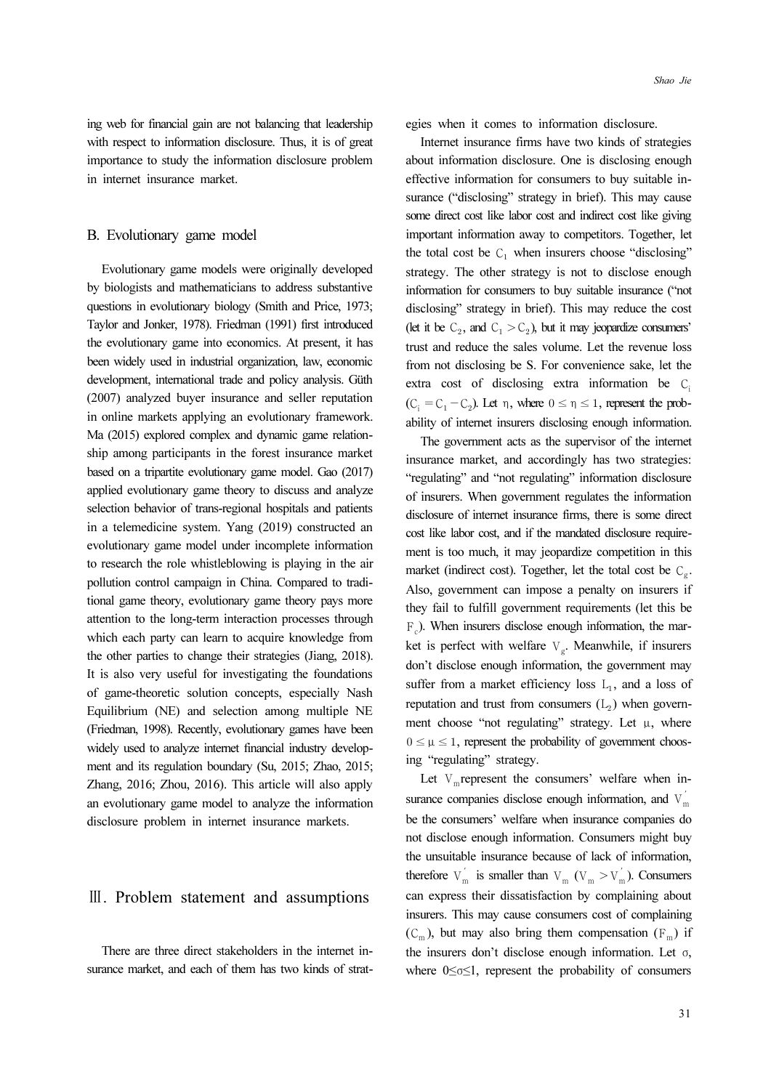ing web for financial gain are not balancing that leadership with respect to information disclosure. Thus, it is of great importance to study the information disclosure problem in internet insurance market.

#### B. Evolutionary game model

Evolutionary game models were originally developed by biologists and mathematicians to address substantive questions in evolutionary biology (Smith and Price, 1973; Taylor and Jonker, 1978). Friedman (1991) first introduced the evolutionary game into economics. At present, it has been widely used in industrial organization, law, economic development, international trade and policy analysis. Güth (2007) analyzed buyer insurance and seller reputation in online markets applying an evolutionary framework. Ma (2015) explored complex and dynamic game relationship among participants in the forest insurance market based on a tripartite evolutionary game model. Gao (2017) applied evolutionary game theory to discuss and analyze selection behavior of trans-regional hospitals and patients in a telemedicine system. Yang (2019) constructed an evolutionary game model under incomplete information to research the role whistleblowing is playing in the air pollution control campaign in China. Compared to traditional game theory, evolutionary game theory pays more attention to the long-term interaction processes through which each party can learn to acquire knowledge from the other parties to change their strategies (Jiang, 2018). It is also very useful for investigating the foundations of game-theoretic solution concepts, especially Nash Equilibrium (NE) and selection among multiple NE (Friedman, 1998). Recently, evolutionary games have been widely used to analyze internet financial industry development and its regulation boundary (Su, 2015; Zhao, 2015; Zhang, 2016; Zhou, 2016). This article will also apply an evolutionary game model to analyze the information disclosure problem in internet insurance markets.

### Ⅲ. Problem statement and assumptions

There are three direct stakeholders in the internet insurance market, and each of them has two kinds of strategies when it comes to information disclosure.

Internet insurance firms have two kinds of strategies about information disclosure. One is disclosing enough effective information for consumers to buy suitable insurance ("disclosing" strategy in brief). This may cause some direct cost like labor cost and indirect cost like giving important information away to competitors. Together, let the total cost be  $C_1$  when insurers choose "disclosing" strategy. The other strategy is not to disclose enough information for consumers to buy suitable insurance ("not disclosing" strategy in brief). This may reduce the cost (let it be  $C_2$ , and  $C_1 > C_2$ ), but it may jeopardize consumers' trust and reduce the sales volume. Let the revenue loss from not disclosing be S. For convenience sake, let the extra cost of disclosing extra information be  $C_i$  $(C_i = C_1 - C_2)$ . Let  $\eta$ , where  $0 \le \eta \le 1$ , represent the probability of internet insurers disclosing enough information.

The government acts as the supervisor of the internet insurance market, and accordingly has two strategies: "regulating" and "not regulating" information disclosure of insurers. When government regulates the information disclosure of internet insurance firms, there is some direct cost like labor cost, and if the mandated disclosure requirement is too much, it may jeopardize competition in this market (indirect cost). Together, let the total cost be  $C_{\alpha}$ . Also, government can impose a penalty on insurers if they fail to fulfill government requirements (let this be  $F_c$ ). When insurers disclose enough information, the market is perfect with welfare  $V_g$ . Meanwhile, if insurers don't disclose enough information, the government may suffer from a market efficiency loss  $L_1$ , and a loss of reputation and trust from consumers  $(L_2)$  when government choose "not regulating" strategy. Let  $\mu$ , where  $0 \leq \mu \leq 1$ , represent the probability of government choosing "regulating" strategy.

Let  $V_m$  represent the consumers' welfare when insurance companies disclose enough information, and  $V_{m}^{'}$ be the consumers' welfare when insurance companies do not disclose enough information. Consumers might buy the unsuitable insurance because of lack of information, therefore  $V_m$  is smaller than  $V_m$  ( $V_m > V_m$ ). Consumers can express their dissatisfaction by complaining about insurers. This may cause consumers cost of complaining  $(C_m)$ , but may also bring them compensation  $(F_m)$  if the insurers don't disclose enough information. Let σ, where 0≤σ≤1, represent the probability of consumers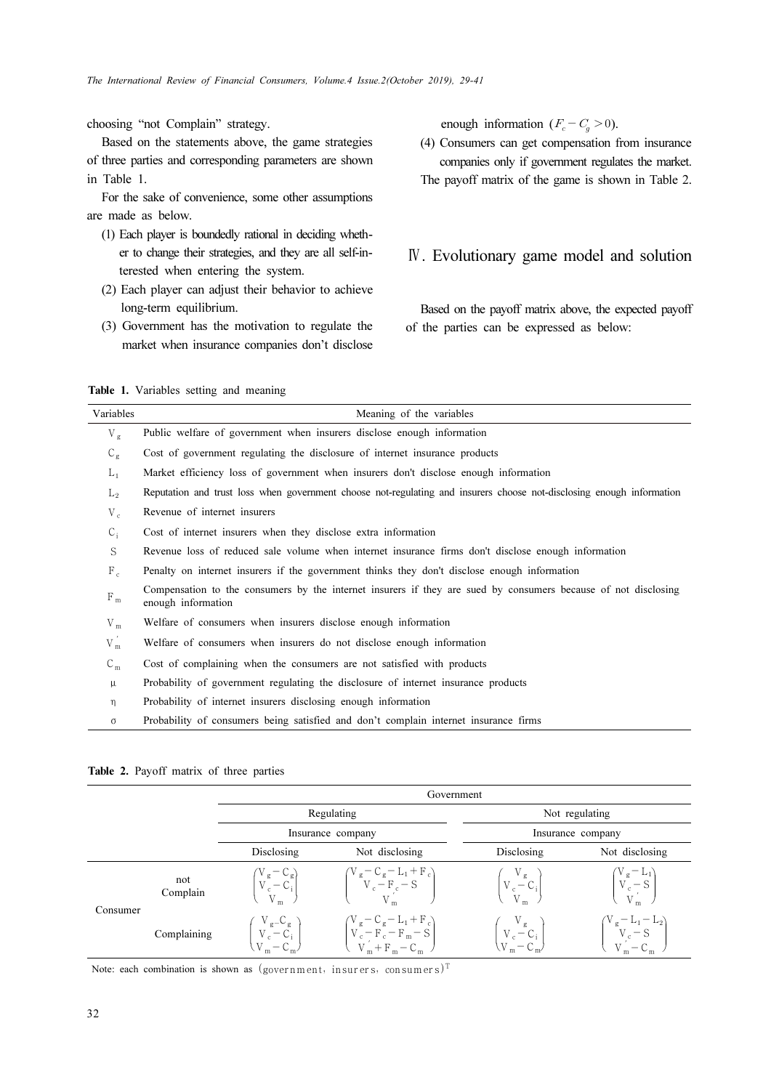choosing "not Complain" strategy.

Based on the statements above, the game strategies of three parties and corresponding parameters are shown in Table 1.

For the sake of convenience, some other assumptions are made as below.

- (1) Each player is boundedly rational in deciding whether to change their strategies, and they are all self-interested when entering the system.
- (2) Each player can adjust their behavior to achieve long-term equilibrium.
- (3) Government has the motivation to regulate the market when insurance companies don't disclose

enough information  $(F_c - C_g > 0)$ .

(4) Consumers can get compensation from insurance companies only if government regulates the market. The payoff matrix of the game is shown in Table 2.

### Ⅳ. Evolutionary game model and solution

Based on the payoff matrix above, the expected payoff of the parties can be expressed as below:

Table 1. Variables setting and meaning

|           | $\alpha$ and $\alpha$ is a variable. Setting and incalling                                                                           |
|-----------|--------------------------------------------------------------------------------------------------------------------------------------|
| Variables | Meaning of the variables                                                                                                             |
| $V_g$     | Public welfare of government when insurers disclose enough information                                                               |
| $C_{g}$   | Cost of government regulating the disclosure of internet insurance products                                                          |
| $L_1$     | Market efficiency loss of government when insurers don't disclose enough information                                                 |
| $L_2$     | Reputation and trust loss when government choose not-regulating and insurers choose not-disclosing enough information                |
| $V_c$     | Revenue of internet insurers                                                                                                         |
| $C_i$     | Cost of internet insurers when they disclose extra information                                                                       |
| S         | Revenue loss of reduced sale volume when internet insurance firms don't disclose enough information                                  |
| $F_c$     | Penalty on internet insurers if the government thinks they don't disclose enough information                                         |
| $F_{m}$   | Compensation to the consumers by the internet insurers if they are sued by consumers because of not disclosing<br>enough information |
| $V_{m}$   | Welfare of consumers when insurers disclose enough information                                                                       |
| $V_{m}$   | Welfare of consumers when insurers do not disclose enough information                                                                |
| $C_m$     | Cost of complaining when the consumers are not satisfied with products                                                               |
| μ         | Probability of government regulating the disclosure of internet insurance products                                                   |

- η Probability of internet insurers disclosing enough information
- σ Probability of consumers being satisfied and don't complain internet insurance firms

#### Table 2. Payoff matrix of three parties

|          |                                                                                   | Government                      |                                                                                                                                                                                           |                                                                                             |                                                                                                                                                   |  |  |
|----------|-----------------------------------------------------------------------------------|---------------------------------|-------------------------------------------------------------------------------------------------------------------------------------------------------------------------------------------|---------------------------------------------------------------------------------------------|---------------------------------------------------------------------------------------------------------------------------------------------------|--|--|
|          |                                                                                   | Regulating<br>Insurance company |                                                                                                                                                                                           | Not regulating                                                                              |                                                                                                                                                   |  |  |
|          |                                                                                   |                                 |                                                                                                                                                                                           | Insurance company                                                                           |                                                                                                                                                   |  |  |
|          |                                                                                   | Disclosing                      | Not disclosing                                                                                                                                                                            | Disclosing                                                                                  | Not disclosing                                                                                                                                    |  |  |
| Consumer | not<br>Complain                                                                   |                                 | $\begin{pmatrix} V_g - C_g \\ V_c - C_i \\ V_w \end{pmatrix}$ $\begin{pmatrix} V_g - C_g - L_1 + F_c \\ V_c - F_c - S \\ V_w \end{pmatrix}$                                               | $\begin{bmatrix} \mathbf{V_g} \\ \mathbf{V_c} - \mathbf{C_i} \\ \mathbf{V_r} \end{bmatrix}$ | $\begin{bmatrix} V_g - L_1 \\ V_c - S \\ V' \end{bmatrix}$                                                                                        |  |  |
|          | Complaining                                                                       |                                 | $\begin{pmatrix} V_{g}-C_{g} \\ V_{c}-C_{i} \\ V_{m}-C_{m} \end{pmatrix} \qquad \qquad \begin{pmatrix} V_{g}-C_{g}-L_{1}+F_{c} \\ V_{c}-F_{c}-F_{m}-S \\ V_{m}+F_{m}-C_{m} \end{pmatrix}$ |                                                                                             | $\begin{pmatrix} V_g \\ V_c - C_i \\ V_m - C_m \end{pmatrix} \qquad \qquad \begin{pmatrix} V_g - L_1 - L_2 \\ V_c - S \\ V_m - C_m \end{pmatrix}$ |  |  |
|          | Note: each combination is shown as (government, insurers, consumers) <sup>T</sup> |                                 |                                                                                                                                                                                           |                                                                                             |                                                                                                                                                   |  |  |
| 32       |                                                                                   |                                 |                                                                                                                                                                                           |                                                                                             |                                                                                                                                                   |  |  |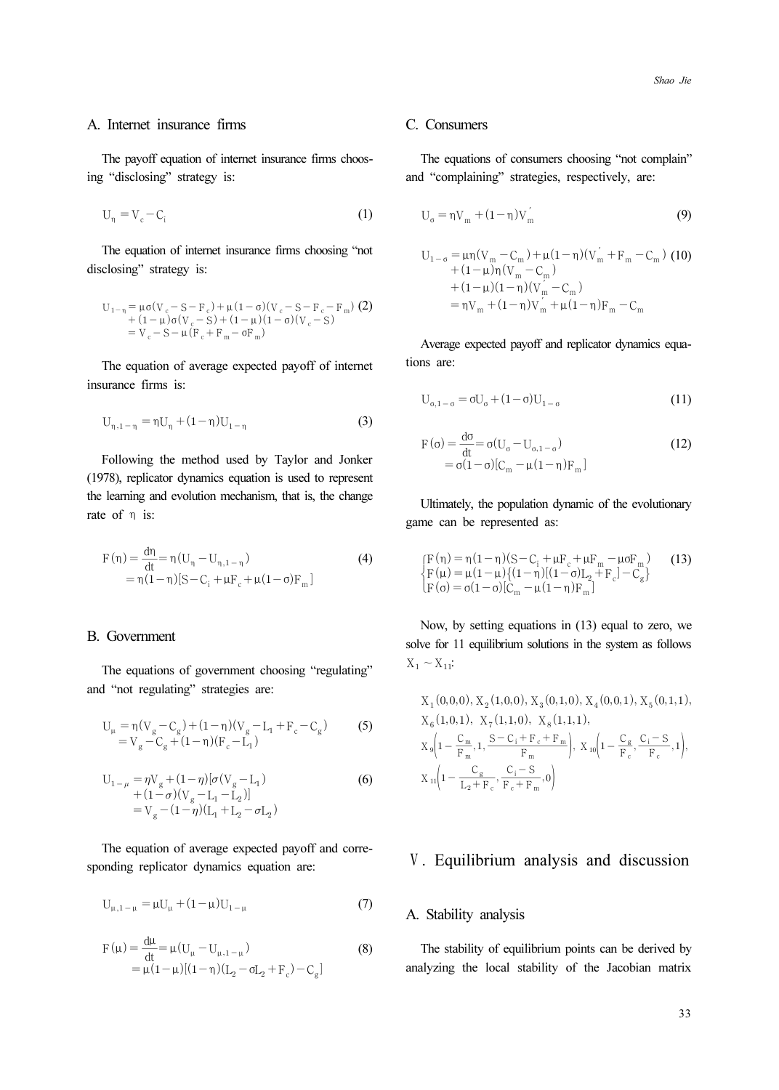#### A. Internet insurance firms

The payoff equation of internet insurance firms choosing "disclosing" strategy is:

$$
U_{\eta} = V_c - C_i \tag{1}
$$

The equation of internet insurance firms choosing "not disclosing" strategy is:

$$
U_{1-\eta} = \mu \sigma (V_c - S - F_c) + \mu (1 - \sigma) (V_c - S - F_c - F_m)
$$
  
+ (1 -  $\mu$ ) $\sigma (V_c - S) + (1 - \mu) (1 - \sigma) (V_c - S)$   
=  $V_c - S - \mu (F_c + F_m - \sigma F_m)$ 

The equation of average expected payoff of internet insurance firms is:

$$
U_{\eta,1-\eta} = \eta U_{\eta} + (1-\eta)U_{1-\eta}
$$
 (3)

Following the method used by Taylor and Jonker (1978), replicator dynamics equation is used to represent the learning and evolution mechanism, that is, the change rate of η is: Internet<br>
The payoff<br>
"disclosire"<br>  $U_{\eta} = V_c - I$ <br>
The equatic<br>
closing" st<br>  $U_{1-\eta} = \mu \sigma (I - I) - \nu C$ <br>  $+ (1 - I) - \nu C$ <br>
The equatic<br>
urance firm<br>  $U_{\eta, 1-\eta} = r$ <br>
Following<br>
learning are of  $\eta$  is:<br>  $F(\eta) = \frac{d\eta}{dr}$ Fμ

$$
F(\eta) = \frac{d\eta}{dt} = \eta (U_{\eta} - U_{\eta, 1 - \eta})
$$
\n
$$
= \eta (1 - \eta) [S - C_{i} + \mu F_{c} + \mu (1 - \sigma) F_{m}]
$$
\n(4)

#### B. Government

The equations of government choosing "regulating" and "not regulating" strategies are:

$$
U_{\mu} = \eta (V_{g} - C_{g}) + (1 - \eta)(V_{g} - L_{1} + F_{c} - C_{g})
$$
\n
$$
= V_{g} - C_{g} + (1 - \eta)(F_{c} - L_{1})
$$
\n(5)

$$
U_{1-\mu} = \eta V_g + (1-\eta)[\sigma(V_g - L_1) + (1-\sigma)(V_g - L_1 - L_2)] = V_g - (1-\eta)(L_1 + L_2 - \sigma L_2)
$$
 (6)

The equation of average expected payoff and corresponding replicator dynamics equation are:

$$
U_{\mu,1-\mu} = \mu U_{\mu} + (1-\mu)U_{1-\mu}
$$
 (7)

$$
F(\mu) = \frac{d\mu}{dt} = \mu (U_{\mu} - U_{\mu, 1 - \mu})
$$
\n
$$
= \mu (1 - \mu) [(1 - \eta)(L_2 - \sigma L_2 + F_c) - C_g]
$$
\n(8)

### C. Consumers

The equations of consumers choosing "not complain" and "complaining" strategies, respectively, are:

$$
U_{\sigma} = \eta V_{m} + (1 - \eta)V_{m}^{'}
$$
\n(9)

Consumes

\nThe equations of consumers choosing "not complain" 1 "complaining" strategies, respectively, are:

\nU<sub>o</sub> = ηV<sub>m</sub> + (1 − η)V<sub>m</sub>′

\n(9)

\nU<sub>1-o</sub> = μη(V<sub>m</sub> - C<sub>m</sub>) + μ(1 − η)(V<sub>m</sub>′ + F<sub>m</sub> - C<sub>m</sub>) (10) + (1 − μ)(V<sub>m</sub> - C<sub>m</sub>)

\n+ (1 − μ)(1 − η)(V<sub>m</sub> - C<sub>m</sub>)

\n= ηV<sub>m</sub> + (1 − η)V<sub>m</sub> + μ(1 − η)F<sub>m</sub> - C<sub>m</sub>

\nAverage expected payoff and replicate dynamics equa-  
\nas are:

\nU<sub>o,1-o</sub> = σU<sub>o</sub> + (1 − σ)U<sub>1-o</sub>

\nF(σ) = 
$$
\frac{d\sigma}{dt} = \sigma(U_o - U_{o,1-o})
$$
 (11) = σ(1 − σ)[C<sub>m</sub> - μ(1 − η)F<sub>m</sub>]

\nUltimately, the population dynamic of the evolutionary me can be represented as:

\n[F(η) = η(1 − η)(S – C<sub>i</sub> + μF<sub>c</sub> + μF<sub>m</sub> - μσF<sub>m</sub>) (13) F(μ) = μ(1 − μ)(1 − η)[(1 − σ)[L<sub>m</sub> - μ(1 − η)F<sub>m</sub>]

\nNow, by setting equations in (13) equal to zero, we use for 11 equilibrium solutions in the system as follows ~X<sub>11</sub>:

\nX<sub>1</sub>(0, 0, 0), X<sub>2</sub>(1, 0, 0), X<sub>3</sub>(0, 1, 0), X<sub>4</sub>(0, 0, 1), X<sub>5</sub>(0, 1, 1), X<sub>6</sub>(1, 0, 1), X<sub>7</sub>(1, 1, 0), X<sub>8</sub>(1, 1, 1), X<sub>9</sub>(1 - \frac{C\_n}{n}, 1, \frac{S - C\_i + F\_c + F\_m}{n}), X<sub>9</sub>(1 - \frac{C\_n}{n}, \frac{C\_i - S}{n}, 1), X<sub>1</sub>(1 - \frac{C\_n

Average expected payoff and replicator dynamics equations are:

$$
U_{\sigma,1-\sigma} = \sigma U_{\sigma} + (1-\sigma)U_{1-\sigma}
$$
\n(11)

$$
F(\sigma) = \frac{d\sigma}{dt} = \sigma(U_{\sigma} - U_{\sigma, 1-\sigma})
$$
  
=  $\sigma(1-\sigma)[C_m - \mu(1-\eta)F_m]$  (12)

Ultimately, the population dynamic of the evolutionary game can be represented as:

$$
\begin{cases}\nF(\eta) = \eta (1 - \eta)(S - C_i + \mu F_c + \mu F_m - \mu \sigma F_m) & (13) \\
F(\mu) = \mu (1 - \mu)\{(1 - \eta)[(1 - \sigma)L_2 + F_c] - C_g\} \\
F(\sigma) = \sigma (1 - \sigma)[C_m - \mu (1 - \eta)F_m]\n\end{cases}
$$

Now, by setting equations in (13) equal to zero, we solve for 11 equilibrium solutions in the system as follows  $X_1 \sim X_{11}$ :

**Consumes**  
\nThe equations of consumers choosing "not complain"  
\nd "complaining" strategies, respectively, are:  
\n
$$
U_0 = \eta V_m + (1 - \eta)V_m
$$
(9)  
\n
$$
U_{1-\sigma} = \mu \eta (V_m - C_m) + \mu (1 - \eta)(V_m' + F_m - C_m)
$$
(10)  
\n
$$
+ (1 - \mu)(1 - \eta)(V_m - C_m)
$$
  
\n
$$
+ (1 - \mu)(1 - \eta)(V_m - C_m)
$$
  
\n
$$
= \eta V_m + (1 - \eta)V_m' + \mu (1 - \eta)F_m - C_m
$$
  
\nAverage expected payoff and replication dynamics equa-  
\nans are:  
\n
$$
U_{0,1-\sigma} = \sigma U_0 + (1 - \sigma)U_{1-\sigma}
$$
(11)  
\n
$$
F(\sigma) = \frac{d\sigma}{dt} = \sigma (U_0 - U_{\sigma,1-\sigma})
$$
(12)  
\n
$$
= \sigma (1 - \sigma)[C_m - \mu (1 - \eta)F_m]
$$
  
\n**Ulimately, the population dynamic of the evolutionary**  
\nme can be represented as:  
\n
$$
\begin{cases}\nF(\eta) = \eta (1 - \eta)(S - C_i + \mu F_c + \mu F_m - \mu \sigma F_m) \\
F(\mu) = \mu (1 - \mu) \{ (1 - \eta)[(1 - \sigma)I_2 + F_c] - C_g \} \\
F(\sigma) = \sigma (1 - \sigma)[C_m - \mu (1 - \eta)F_m]\n\end{cases}
$$
  
\nNow, by setting equations in (13) equal to zero, we  
\nthe for 11 equilibrium solutions in the system as follows  
\n $1 \sim X_{11}$ :  
\n
$$
X_1(0,0,0), X_2(1,0,0), X_3(0,1,0), X_4(0,0,1), X_5(0,1,1), X_6(1,0,1), X_7(1,1,0), X_8(1,1,1), X_9[1 - \frac{C_g}{F_m}, \frac{C_i - S}{F_m}, 1), X_{10}[1 - \frac{C_g}{F_m}, \frac{C_i - S}{F_m}, 1), X_{11}[1 - \frac{C_g}{F_m + F_m}, \frac{C_i - S}{F_m + F_m}, 0)
$$

# Ⅴ. Equilibrium analysis and discussion

### A. Stability analysis

The stability of equilibrium points can be derived by analyzing the local stability of the Jacobian matrix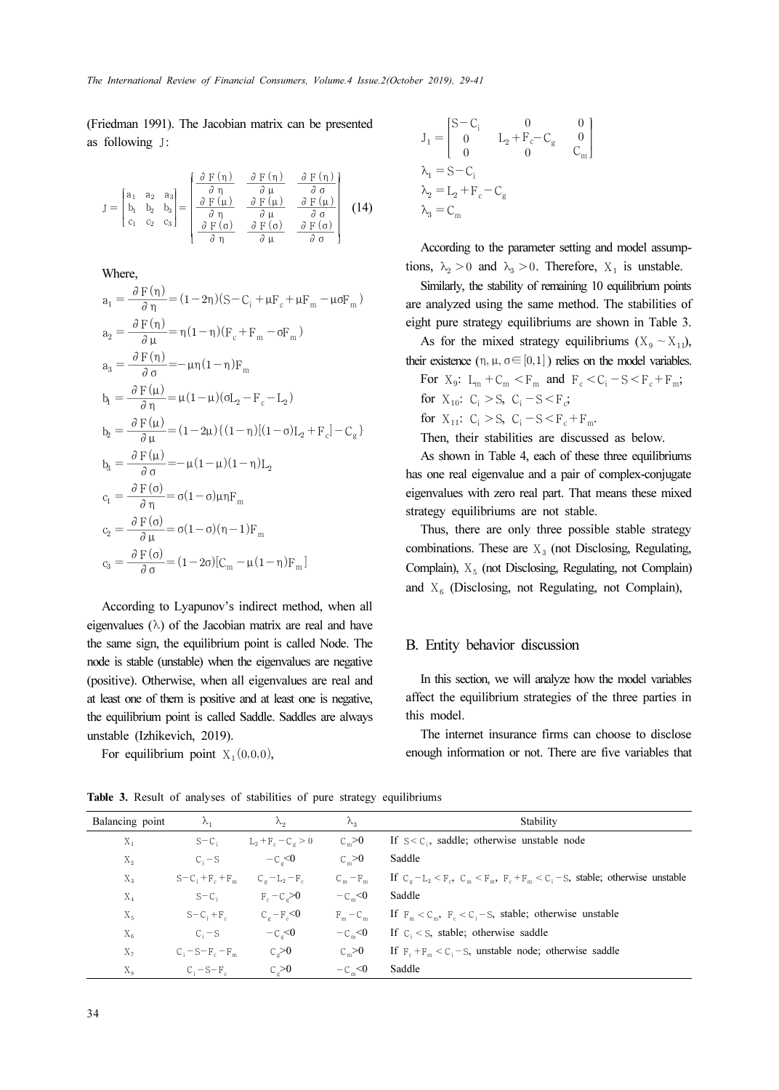The International Review of Financial Consumers, Volume.4 Issue.2(October 2019), 29-41

(Friedman 1991). The Jacobian matrix can be presented as following J: *of Financial Consu*<br>Jacobian matrix<br> $\partial F(\eta)$   $\partial F(\eta)$ *al Consumers, Volun*<br>
matrix can be pr<br>  $\partial F(\eta)$  *o*  $F(\eta)$ 

*International Review of Financial Consumers, Volume.4 Issu*  
\niedman 1991). The Jacobian matrix can be presented  
\nfollowing J:  
\n
$$
J = \begin{bmatrix} a_1 & a_2 & a_3 \\ b_1 & b_2 & b_3 \\ c_1 & c_2 & c_3 \end{bmatrix} = \begin{bmatrix} \frac{\partial F(\eta)}{\partial \eta} & \frac{\partial F(\eta)}{\partial \mu} & \frac{\partial F(\eta)}{\partial \mu} \\ \frac{\partial F(\mu)}{\partial \eta} & \frac{\partial F(\mu)}{\partial \mu} & \frac{\partial F(\mu)}{\partial \sigma} \\ \frac{\partial F(\sigma)}{\partial \eta} & \frac{\partial F(\sigma)}{\partial \mu} & \frac{\partial F(\sigma)}{\partial \sigma} \end{bmatrix}
$$
(14)  
\nWhere,  
\n
$$
a_1 = \frac{\partial F(\eta)}{\partial \eta} = (1 - 2\eta)(S - C_i + \mu F_c + \mu F_m - \mu \sigma F_m)
$$
\n
$$
a_2 = \frac{\partial F(\eta)}{\partial \mu} = \eta (1 - \eta)(F_c + F_m - \sigma F_m)
$$

Where,

International Review of Financial Consumers, Volume.4 Iss  
\niedman 1991). The Jacobian matrix can be presented  
\nfollowing J:  
\n
$$
J = \begin{bmatrix} a_1 & a_2 & a_3 \\ b_1 & b_2 & b_3 \\ c_1 & c_2 & c_3 \end{bmatrix} = \begin{bmatrix} \frac{\partial F(\eta)}{\partial \eta} & \frac{\partial F(\eta)}{\partial \mu} & \frac{\partial F(\eta)}{\partial \sigma} \\ \frac{\partial F(\mu)}{\partial \eta} & \frac{\partial F(\mu)}{\partial \mu} & \frac{\partial F(\mu)}{\partial \sigma} \\ \frac{\partial F(\mu)}{\partial \eta} & \frac{\partial F(\sigma)}{\partial \mu} & \frac{\partial F(\sigma)}{\partial \sigma} \end{bmatrix} (14
$$
\nWhere,  
\n
$$
a_1 = \frac{\partial F(\eta)}{\partial \eta} = (1 - 2\eta)(S - C_1 + \mu F_c + \mu F_m - \mu \sigma F_m)
$$
\n
$$
a_2 = \frac{\partial F(\eta)}{\partial \mu} = \eta (1 - \eta)(F_c + F_m - \sigma F_m)
$$
\n
$$
a_3 = \frac{\partial F(\eta)}{\partial \sigma} = -\mu \eta (1 - \eta) F_m
$$
\n
$$
b_1 = \frac{\partial F(\mu)}{\partial \eta} = \mu (1 - \mu)(\sigma I_2 - F_c - I_2)
$$
\n
$$
b_2 = \frac{\partial F(\mu)}{\partial \mu} = (1 - 2\mu)\{(1 - \eta)[(1 - \sigma)I_2 + F_c] - C_g\}
$$
\n
$$
b_3 = \frac{\partial F(\mu)}{\partial \sigma} = -\mu (1 - \mu)(1 - \eta) I_2
$$
\n
$$
c_1 = \frac{\partial F(\sigma)}{\partial \eta} = \sigma (1 - \sigma)\mu \sigma F_m
$$
\n
$$
c_2 = \frac{\partial F(\sigma)}{\partial \mu} = \sigma (1 - \sigma)(\eta - 1) F_m
$$
\n
$$
c_3 = \frac{\partial F(\sigma)}{\partial \sigma} = (1 - 2\sigma)[C_m - \mu (1 - \eta) F_m]
$$

According to Lyapunov's indirect method, when all eigenvalues  $(\lambda)$  of the Jacobian matrix are real and have the same sign, the equilibrium point is called Node. The node is stable (unstable) when the eigenvalues are negative (positive). Otherwise, when all eigenvalues are real and at least one of them is positive and at least one is negative, the equilibrium point is called Saddle. Saddles are always unstable (Izhikevich, 2019).

For equilibrium point  $X_1(0,0,0)$ ,

$$
\begin{aligned} {\rm J}_1 &= \begin{bmatrix} {\rm S} - {\rm C}_{\rm i} & 0 & 0 \\ 0 & {\rm L}_2 + {\rm F}_{\rm c} - {\rm C}_{\rm g} & 0 \\ 0 & 0 & {\rm C}_{\rm m} \end{bmatrix} \\ {\rm A}_1 &= {\rm S} - {\rm C}_{\rm i} \\ {\rm A}_2 &= {\rm L}_2 + {\rm F}_{\rm c} - {\rm C}_{\rm g} \\ {\rm A}_3 &= {\rm C}_{\rm m} \end{aligned}
$$

According to the parameter setting and model assumptions,  $\lambda_2 > 0$  and  $\lambda_3 > 0$ . Therefore,  $X_1$  is unstable.

Similarly, the stability of remaining 10 equilibrium points are analyzed using the same method. The stabilities of eight pure strategy equilibriums are shown in Table 3.

As for the mixed strategy equilibriums ( $X_9 \sim X_{11}$ ), their existence  $(\eta, \mu, \sigma \in [0,1])$  relies on the model variables.

For  $X_9$ :  $L_m + C_m < F_m$  and  $F_c < C_i - S < F_c + F_m$ ; for  $X_{10}$ :  $C_i > S$ ,  $C_i - S < F_c$ ; for  $X_{11}$ :  $C_i > S$ ,  $C_i - S < F_c + F_m$ .

Then, their stabilities are discussed as below.

As shown in Table 4, each of these three equilibriums has one real eigenvalue and a pair of complex-conjugate eigenvalues with zero real part. That means these mixed strategy equilibriums are not stable.

Thus, there are only three possible stable strategy combinations. These are  $X_3$  (not Disclosing, Regulating, Complain),  $X_5$  (not Disclosing, Regulating, not Complain) and  $X_6$  (Disclosing, not Regulating, not Complain),

### B. Entity behavior discussion

In this section, we will analyze how the model variables affect the equilibrium strategies of the three parties in this model.

The internet insurance firms can choose to disclose enough information or not. There are five variables that

| Balancing point | $\lambda_1$           | $\lambda_{2}$           | $\lambda_3$       | Stability                                                                               |
|-----------------|-----------------------|-------------------------|-------------------|-----------------------------------------------------------------------------------------|
| $X_1$           | $S-C_i$               | $L_2 + F_c - C_g > 0$   | $C_{m} > 0$       | If $S < C_i$ , saddle; otherwise unstable node                                          |
| $X_2$           | $C_i - S$             | $-Ca < 0$               | $C_{\infty} > 0$  | Saddle                                                                                  |
| $X_3$           | $S-C_i+F_i+F_m$       | $C_\varphi - L_2 - F_c$ | $C_m - F_m$       | If $C_a - L_2 < F_c$ , $C_m < F_m$ , $F_c + F_m < C_i - S$ , stable; otherwise unstable |
| $X_4$           | $S-Ci$                | $F_c - C_c > 0$         | $-Cm < 0$         | Saddle                                                                                  |
| $X_{5}$         | $S - C_1 + F_c$       | $C_a - F_c \le 0$       | $F_m - C_m$       | If $F_m < C_m$ , $F_s < C_i - S$ , stable; otherwise unstable                           |
| $X_6$           | $C_i - S$             | $-C0 < 0$               | $-Cm < 0$         | If $C_i < S$ , stable; otherwise saddle                                                 |
| $X_7$           | $C_i - S - F_c - F_m$ | $C_{o} > 0$             | $C_{\infty} > 0$  | If $F_{n} + F_{m} < C_{n} - S$ , unstable node; otherwise saddle                        |
| $X_{8}$         | $C_i = S - F_c$       | C > 0                   | $-C_{\infty} < 0$ | Saddle                                                                                  |

Table 3. Result of analyses of stabilities of pure strategy equilibriums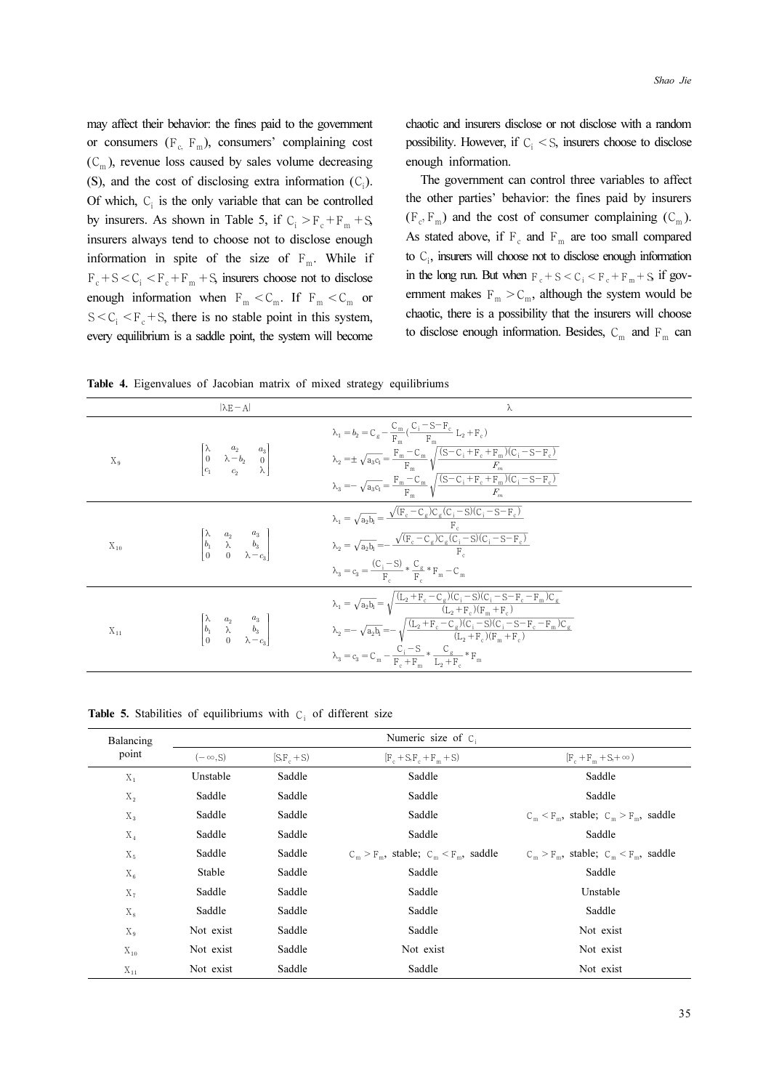Table 4. Eigenvalues of Jacobian matrix of mixed strategy equilibriums

|                   | may affect their behavior: the fines paid to the government<br>or consumers ( $F_c$ , $F_m$ ), consumers' complaining cost<br>$(C_m)$ , revenue loss caused by sales volume decreasing<br>(S), and the cost of disclosing extra information $(C_i)$ .                                                                             | Shao Jie<br>chaotic and insurers disclose or not disclose with a random<br>possibility. However, if $C_i < S$ , insurers choose to disclose<br>enough information.<br>The government can control three variables to affect                                                                                                                                                                                                                                                                                                                                     |
|-------------------|-----------------------------------------------------------------------------------------------------------------------------------------------------------------------------------------------------------------------------------------------------------------------------------------------------------------------------------|----------------------------------------------------------------------------------------------------------------------------------------------------------------------------------------------------------------------------------------------------------------------------------------------------------------------------------------------------------------------------------------------------------------------------------------------------------------------------------------------------------------------------------------------------------------|
|                   | Of which, $C_i$ is the only variable that can be controlled<br>by insurers. As shown in Table 5, if $C_i > F_c + F_m + S$ ,<br>insurers always tend to choose not to disclose enough<br>information in spite of the size of $F_m$ . While if<br>$F_c + S < C_i < F_c + F_m + S$ insurers choose not to disclose                   | the other parties' behavior: the fines paid by insurers<br>$(F_c, F_m)$ and the cost of consumer complaining $(C_m)$ .<br>As stated above, if $F_c$ and $F_m$ are too small compared<br>to $C_i$ , insurers will choose not to disclose enough information<br>in the long run. But when $F_c + S < C_i < F_c + F_m + S$ if gov-                                                                                                                                                                                                                                |
|                   | enough information when $\, {\bf F}_{\rm m} < {\bf C}_{\rm m}. \,$ If $\, {\bf F}_{\rm m} < {\bf C}_{\rm m} \,$ or<br>$S \lt C_i \lt F_c + S$ , there is no stable point in this system,<br>every equilibrium is a saddle point, the system will become<br>Table 4. Eigenvalues of Jacobian matrix of mixed strategy equilibriums | ernment makes $F_m > C_m$ , although the system would be<br>chaotic, there is a possibility that the insurers will choose<br>to disclose enough information. Besides, $\text{C}_{\text{m}}$ and $\text{F}_{\text{m}}$ can                                                                                                                                                                                                                                                                                                                                      |
| $\mathbf{X}_{9}$  | $ \lambda E - A $<br>$\begin{bmatrix} \lambda & a_2 & a_3 \ 0 & \lambda - b_2 & 0 \ c_1 & c_2 & \lambda \end{bmatrix}$                                                                                                                                                                                                            | λ<br>$\lambda_1 = b_2 = C_g - \frac{C_m}{F_m}(\frac{C_i - S - F_c}{F_m}\; L_2 + F_c) \label{eq:lambda1}$<br>$\begin{aligned} \lambda_2 =& \pm \sqrt{a_3c_1} = \frac{F_m - C_m}{F_m} \sqrt{\frac{(S - C_i + F_c + F_m)(C_i - S - F_c)}{F_m}} \\ \lambda_3 =& -\sqrt{a_3c_1} = \frac{F_m - C_m}{F_m} \sqrt{\frac{(S - C_i + F_c + F_m)(C_i - S - F_c)}{F_m}} \\ \lambda_1 =& \sqrt{a_2b_1} = \frac{\sqrt{(F_c - C_g)C_g(C_i - S)(C_i - S - F_c)}}{F_c} \\ \lambda_2 =& \sqrt{a_2b_1} =& -\frac{\sqrt{(F_c - C_g)C_g(C_i - S)(C_i - S - F_c)}}{F_c} \end{aligned$ |
| $\mathbf{X}_{10}$ | $\begin{bmatrix} \lambda & a_2 & a_3 \ b_1 & \lambda & b_3 \ 0 & 0 & \lambda-c_3 \end{bmatrix}$                                                                                                                                                                                                                                   | $\lambda_{3}=c_{3}=\frac{\left(C_{\textrm{i}}-S\right)}{F_{\textrm{c}}}\ast\frac{C_{\textrm{g}}}{F_{\textrm{c}}}\ast F_{\textrm{m}}-C_{\textrm{m}}$<br>$\begin{aligned} \lambda_1 &= \sqrt{a_2b_1} = \sqrt{\frac{ (L_2 + F_c - C_g)(C_i - S)(C_i - S - F_c - F_m)C_g }{ (L_2 + F_c)(F_m + F_c)}} \\ \lambda_2 &= -\sqrt{a_2b_t} = -\sqrt{\frac{ (L_2 + F_c - C_g)(C_i - S)(C_i - S - F_c - F_m)C_g }{ (L_2 + F_c)(F_m + F_c)}} \end{aligned}$                                                                                                                  |
| $\mathbf{X}_{11}$ | $\begin{bmatrix} \lambda & a_2 & a_3 \ b_1 & \lambda & b_3 \ 0 & 0 & \lambda-c_3 \end{bmatrix}$                                                                                                                                                                                                                                   | $\lambda_{3}=c_{3}=C_{m}-\frac{\dot{C_{i}}-S}{F_{c}+F_{m}}*\frac{C_{g}}{L_{2}+F_{c}}*F_{m}$                                                                                                                                                                                                                                                                                                                                                                                                                                                                    |

Table 5. Stabilities of equilibriums with  $C_i$  of different size

| Balancing      | Numeric size of C <sub>i</sub> |             |                                            |                                            |  |  |
|----------------|--------------------------------|-------------|--------------------------------------------|--------------------------------------------|--|--|
| point          | $(-\infty, S)$                 | $(S.F, +S)$ | $[F_c + S_F_c + F_m + S]$                  | $[F_c + F_m + S + \infty)$                 |  |  |
| $X_1$          | Unstable                       | Saddle      | Saddle                                     | Saddle                                     |  |  |
| $X_2$          | Saddle                         | Saddle      | Saddle                                     | Saddle                                     |  |  |
| $X_3$          | Saddle                         | Saddle      | Saddle                                     | $C_m < F_m$ , stable; $C_m > F_m$ , saddle |  |  |
| $X_4$          | Saddle                         | Saddle      | Saddle                                     | Saddle                                     |  |  |
| X <sub>5</sub> | Saddle                         | Saddle      | $C_m > F_m$ , stable; $C_m < F_m$ , saddle | $C_m > F_m$ , stable; $C_m < F_m$ , saddle |  |  |
| $X_6$          | Stable                         | Saddle      | Saddle                                     | Saddle                                     |  |  |
| $X_7$          | Saddle                         | Saddle      | Saddle                                     | Unstable                                   |  |  |
| $X_{\rm s}$    | Saddle                         | Saddle      | Saddle                                     | Saddle                                     |  |  |
| $X_{9}$        | Not exist                      | Saddle      | Saddle                                     | Not exist                                  |  |  |
| $X_{10}$       | Not exist                      | Saddle      | Not exist                                  | Not exist                                  |  |  |
| $X_{11}$       | Not exist                      | Saddle      | Saddle                                     | Not exist                                  |  |  |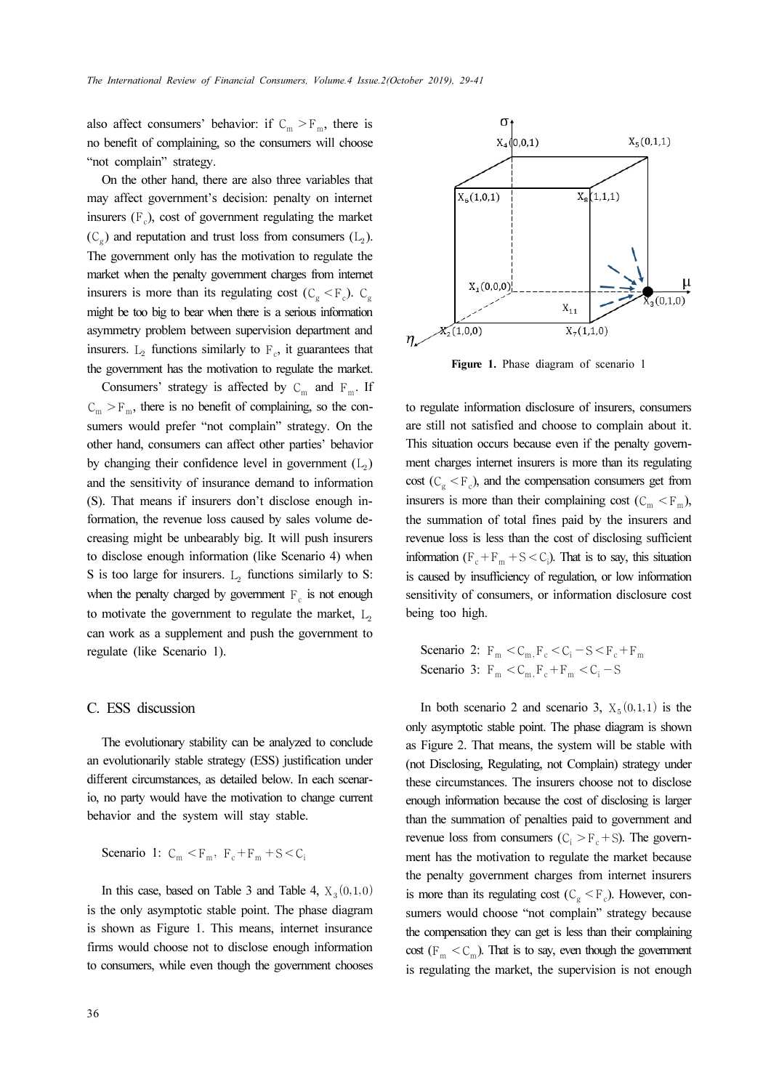also affect consumers' behavior: if  $C_m > F_m$ , there is no benefit of complaining, so the consumers will choose "not complain" strategy.

On the other hand, there are also three variables that may affect government's decision: penalty on internet insurers  $(F_{c})$ , cost of government regulating the market  $(C_{\sigma})$  and reputation and trust loss from consumers  $(L_2)$ . The government only has the motivation to regulate the market when the penalty government charges from internet insurers is more than its regulating cost ( $C_g < F_c$ ).  $C_g$ might be too big to bear when there is a serious information asymmetry problem between supervision department and insurers.  $L_2$  functions similarly to  $F_c$ , it guarantees that the government has the motivation to regulate the market.

Consumers' strategy is affected by  $C_m$  and  $F_m$ . If  $C_m > F_m$ , there is no benefit of complaining, so the consumers would prefer "not complain" strategy. On the other hand, consumers can affect other parties' behavior by changing their confidence level in government  $(L_2)$ and the sensitivity of insurance demand to information (S). That means if insurers don't disclose enough information, the revenue loss caused by sales volume decreasing might be unbearably big. It will push insurers to disclose enough information (like Scenario 4) when S is too large for insurers.  $L_2$  functions similarly to S: when the penalty charged by government  $F<sub>c</sub>$  is not enough to motivate the government to regulate the market,  $L_2$ can work as a supplement and push the government to regulate (like Scenario 1).

### C. ESS discussion

The evolutionary stability can be analyzed to conclude an evolutionarily stable strategy (ESS) justification under different circumstances, as detailed below. In each scenario, no party would have the motivation to change current behavior and the system will stay stable.

**Scenario** 1: 
$$
C_m < F_m
$$
,  $F_c + F_m + S < C_i$ 

In this case, based on Table 3 and Table 4,  $X_3(0,1,0)$ is the only asymptotic stable point. The phase diagram is shown as Figure 1. This means, internet insurance firms would choose not to disclose enough information to consumers, while even though the government chooses



Figure 1. Phase diagram of scenario 1

to regulate information disclosure of insurers, consumers are still not satisfied and choose to complain about it. This situation occurs because even if the penalty government charges internet insurers is more than its regulating cost ( $C_{\sigma}$  < F<sub>c</sub>), and the compensation consumers get from insurers is more than their complaining cost  $(C_m < F_m)$ , the summation of total fines paid by the insurers and revenue loss is less than the cost of disclosing sufficient information ( $F_c + F_m + S < C_i$ ). That is to say, this situation is caused by insufficiency of regulation, or low information sensitivity of consumers, or information disclosure cost being too high.

**Scenario 2:** 
$$
F_m < C_m, F_c < C_i - S < F_c + F_m
$$
\n**Scenario 3:**  $F_m < C_m, F_c + F_m < C_i - S$ 

In both scenario 2 and scenario 3,  $X_5(0,1,1)$  is the only asymptotic stable point. The phase diagram is shown as Figure 2. That means, the system will be stable with (not Disclosing, Regulating, not Complain) strategy under these circumstances. The insurers choose not to disclose enough information because the cost of disclosing is larger than the summation of penalties paid to government and revenue loss from consumers ( $C_i > F_c + S$ ). The government has the motivation to regulate the market because the penalty government charges from internet insurers is more than its regulating cost ( $C_g < F_c$ ). However, consumers would choose "not complain" strategy because the compensation they can get is less than their complaining cost ( $F_m < C_m$ ). That is to say, even though the government is regulating the market, the supervision is not enough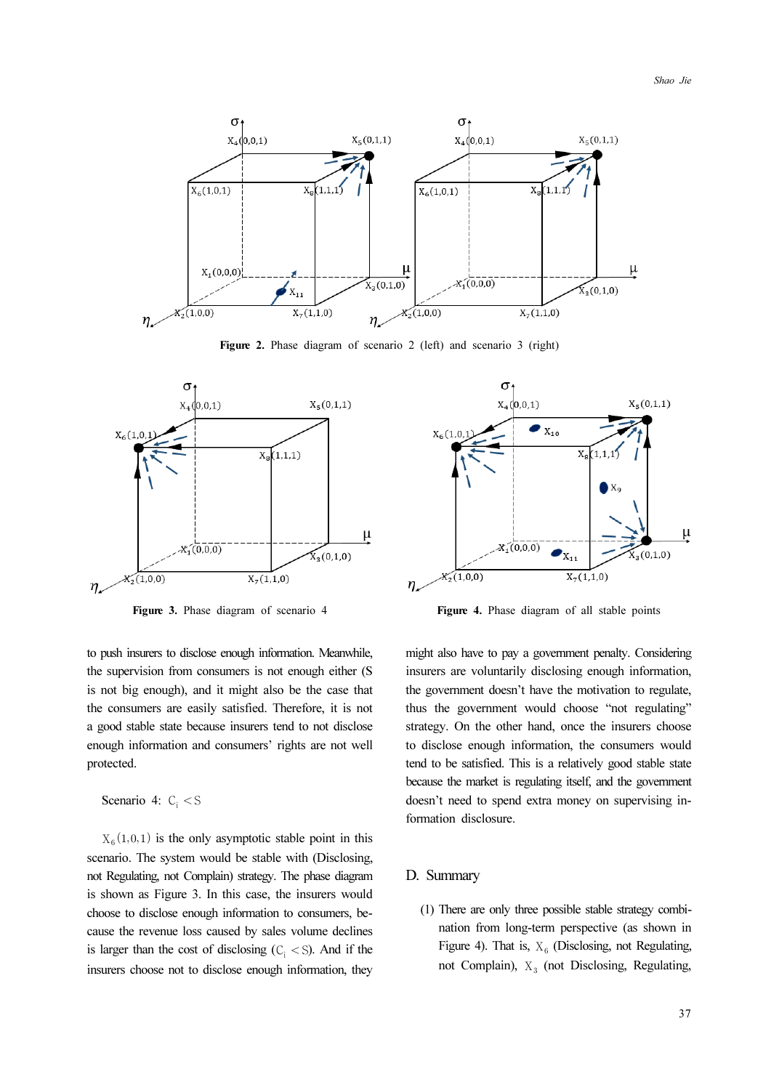

Figure 2. Phase diagram of scenario 2 (left) and scenario 3 (right)



to push insurers to disclose enough information. Meanwhile, the supervision from consumers is not enough either (S is not big enough), and it might also be the case that the consumers are easily satisfied. Therefore, it is not a good stable state because insurers tend to not disclose enough information and consumers' rights are not well protected.

```
Scenario 4: C_i < S
```
 $X<sub>6</sub>(1,0,1)$  is the only asymptotic stable point in this scenario. The system would be stable with (Disclosing, not Regulating, not Complain) strategy. The phase diagram is shown as Figure 3. In this case, the insurers would choose to disclose enough information to consumers, because the revenue loss caused by sales volume declines is larger than the cost of disclosing  $(C_i \le S)$ . And if the insurers choose not to disclose enough information, they



Figure 3. Phase diagram of scenario 4 Figure 4. Phase diagram of all stable points

might also have to pay a government penalty. Considering insurers are voluntarily disclosing enough information, the government doesn't have the motivation to regulate, thus the government would choose "not regulating" strategy. On the other hand, once the insurers choose to disclose enough information, the consumers would tend to be satisfied. This is a relatively good stable state because the market is regulating itself, and the government doesn't need to spend extra money on supervising information disclosure.

#### D. Summary

(1) There are only three possible stable strategy combination from long-term perspective (as shown in Figure 4). That is,  $X_6$  (Disclosing, not Regulating, not Complain),  $X_3$  (not Disclosing, Regulating,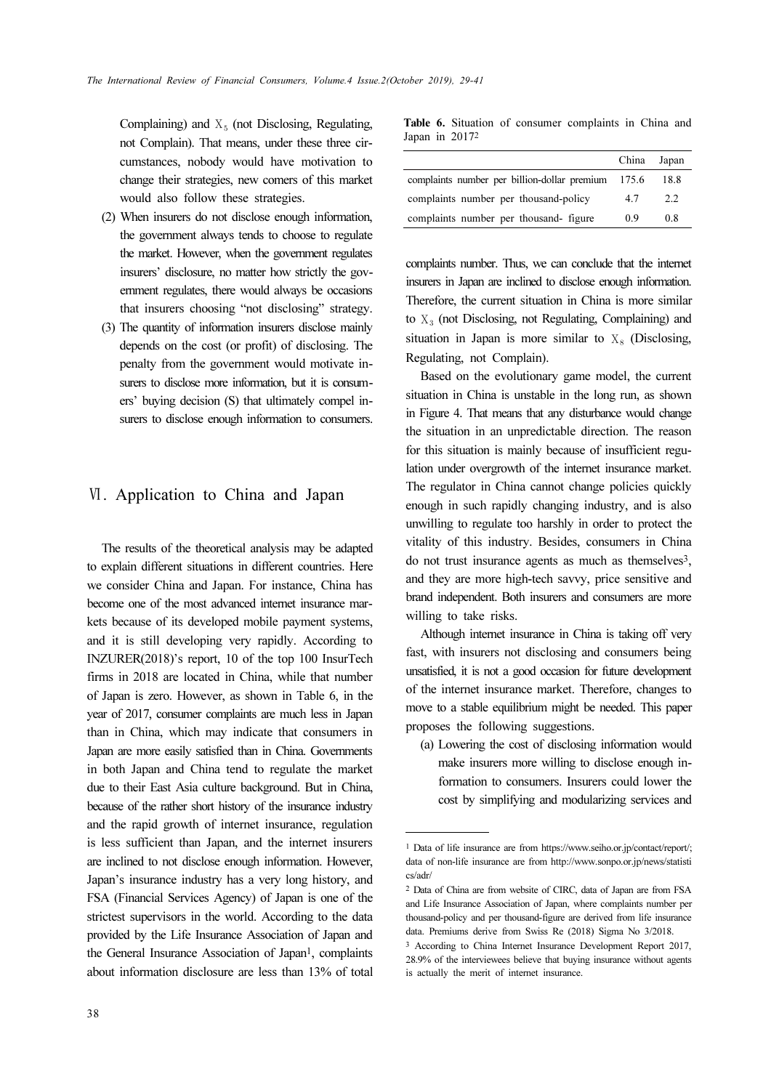Complaining) and  $X_5$  (not Disclosing, Regulating, not Complain). That means, under these three circumstances, nobody would have motivation to change their strategies, new comers of this market would also follow these strategies.

- (2) When insurers do not disclose enough information, the government always tends to choose to regulate the market. However, when the government regulates insurers' disclosure, no matter how strictly the government regulates, there would always be occasions that insurers choosing "not disclosing" strategy.
- (3) The quantity of information insurers disclose mainly depends on the cost (or profit) of disclosing. The penalty from the government would motivate insurers to disclose more information, but it is consumers' buying decision (S) that ultimately compel insurers to disclose enough information to consumers.

# Ⅵ. Application to China and Japan

The results of the theoretical analysis may be adapted to explain different situations in different countries. Here we consider China and Japan. For instance, China has become one of the most advanced internet insurance markets because of its developed mobile payment systems, and it is still developing very rapidly. According to INZURER(2018)'s report, 10 of the top 100 InsurTech firms in 2018 are located in China, while that number of Japan is zero. However, as shown in Table 6, in the year of 2017, consumer complaints are much less in Japan than in China, which may indicate that consumers in Japan are more easily satisfied than in China. Governments in both Japan and China tend to regulate the market due to their East Asia culture background. But in China, because of the rather short history of the insurance industry and the rapid growth of internet insurance, regulation is less sufficient than Japan, and the internet insurers are inclined to not disclose enough information. However, Japan's insurance industry has a very long history, and FSA (Financial Services Agency) of Japan is one of the strictest supervisors in the world. According to the data provided by the Life Insurance Association of Japan and the General Insurance Association of Japan<sup>1</sup>, complaints about information disclosure are less than 13% of total

Table 6. Situation of consumer complaints in China and Japan in 2017<sup>2</sup>

|                                                    | China Japan |      |
|----------------------------------------------------|-------------|------|
| complaints number per billion-dollar premium 175.6 |             | 18.8 |
| complaints number per thousand-policy              | 47          | 2.2  |
| complaints number per thousand- figure             | 09          | 0.8  |

complaints number. Thus, we can conclude that the internet insurers in Japan are inclined to disclose enough information. Therefore, the current situation in China is more similar to  $X_3$  (not Disclosing, not Regulating, Complaining) and situation in Japan is more similar to  $X_8$  (Disclosing, Regulating, not Complain).

Based on the evolutionary game model, the current situation in China is unstable in the long run, as shown in Figure 4. That means that any disturbance would change the situation in an unpredictable direction. The reason for this situation is mainly because of insufficient regulation under overgrowth of the internet insurance market. The regulator in China cannot change policies quickly enough in such rapidly changing industry, and is also unwilling to regulate too harshly in order to protect the vitality of this industry. Besides, consumers in China do not trust insurance agents as much as themselves3, and they are more high-tech savvy, price sensitive and brand independent. Both insurers and consumers are more willing to take risks.

Although internet insurance in China is taking off very fast, with insurers not disclosing and consumers being unsatisfied, it is not a good occasion for future development of the internet insurance market. Therefore, changes to move to a stable equilibrium might be needed. This paper proposes the following suggestions.

(a) Lowering the cost of disclosing information would make insurers more willing to disclose enough information to consumers. Insurers could lower the cost by simplifying and modularizing services and

<sup>1</sup> Data of life insurance are from https://www.seiho.or.jp/contact/report/; data of non-life insurance are from http://www.sonpo.or.jp/news/statisti cs/adr/

<sup>2</sup> Data of China are from website of CIRC, data of Japan are from FSA and Life Insurance Association of Japan, where complaints number per thousand-policy and per thousand-figure are derived from life insurance data. Premiums derive from Swiss Re (2018) Sigma No 3/2018.

<sup>3</sup> According to China Internet Insurance Development Report 2017, 28.9% of the interviewees believe that buying insurance without agents is actually the merit of internet insurance.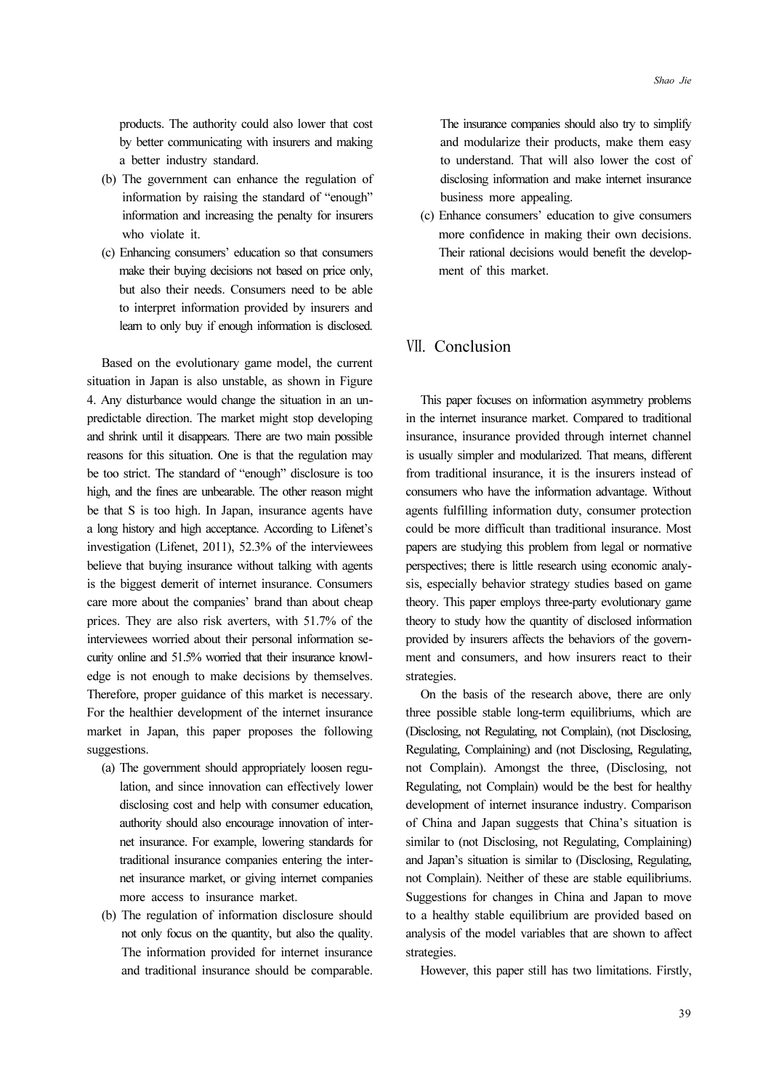products. The authority could also lower that cost by better communicating with insurers and making a better industry standard.

- (b) The government can enhance the regulation of information by raising the standard of "enough" information and increasing the penalty for insurers who violate it.
- (c) Enhancing consumers' education so that consumers make their buying decisions not based on price only, but also their needs. Consumers need to be able to interpret information provided by insurers and learn to only buy if enough information is disclosed.

Based on the evolutionary game model, the current situation in Japan is also unstable, as shown in Figure 4. Any disturbance would change the situation in an unpredictable direction. The market might stop developing and shrink until it disappears. There are two main possible reasons for this situation. One is that the regulation may be too strict. The standard of "enough" disclosure is too high, and the fines are unbearable. The other reason might be that S is too high. In Japan, insurance agents have a long history and high acceptance. According to Lifenet's investigation (Lifenet, 2011), 52.3% of the interviewees believe that buying insurance without talking with agents is the biggest demerit of internet insurance. Consumers care more about the companies' brand than about cheap prices. They are also risk averters, with 51.7% of the interviewees worried about their personal information security online and 51.5% worried that their insurance knowledge is not enough to make decisions by themselves. Therefore, proper guidance of this market is necessary. For the healthier development of the internet insurance market in Japan, this paper proposes the following suggestions.

- (a) The government should appropriately loosen regulation, and since innovation can effectively lower disclosing cost and help with consumer education, authority should also encourage innovation of internet insurance. For example, lowering standards for traditional insurance companies entering the internet insurance market, or giving internet companies more access to insurance market.
- (b) The regulation of information disclosure should not only focus on the quantity, but also the quality. The information provided for internet insurance and traditional insurance should be comparable.

The insurance companies should also try to simplify and modularize their products, make them easy to understand. That will also lower the cost of disclosing information and make internet insurance business more appealing.

(c) Enhance consumers' education to give consumers more confidence in making their own decisions. Their rational decisions would benefit the development of this market.

# Ⅶ. Conclusion

This paper focuses on information asymmetry problems in the internet insurance market. Compared to traditional insurance, insurance provided through internet channel is usually simpler and modularized. That means, different from traditional insurance, it is the insurers instead of consumers who have the information advantage. Without agents fulfilling information duty, consumer protection could be more difficult than traditional insurance. Most papers are studying this problem from legal or normative perspectives; there is little research using economic analysis, especially behavior strategy studies based on game theory. This paper employs three-party evolutionary game theory to study how the quantity of disclosed information provided by insurers affects the behaviors of the government and consumers, and how insurers react to their strategies.

On the basis of the research above, there are only three possible stable long-term equilibriums, which are (Disclosing, not Regulating, not Complain), (not Disclosing, Regulating, Complaining) and (not Disclosing, Regulating, not Complain). Amongst the three, (Disclosing, not Regulating, not Complain) would be the best for healthy development of internet insurance industry. Comparison of China and Japan suggests that China's situation is similar to (not Disclosing, not Regulating, Complaining) and Japan's situation is similar to (Disclosing, Regulating, not Complain). Neither of these are stable equilibriums. Suggestions for changes in China and Japan to move to a healthy stable equilibrium are provided based on analysis of the model variables that are shown to affect strategies.

However, this paper still has two limitations. Firstly,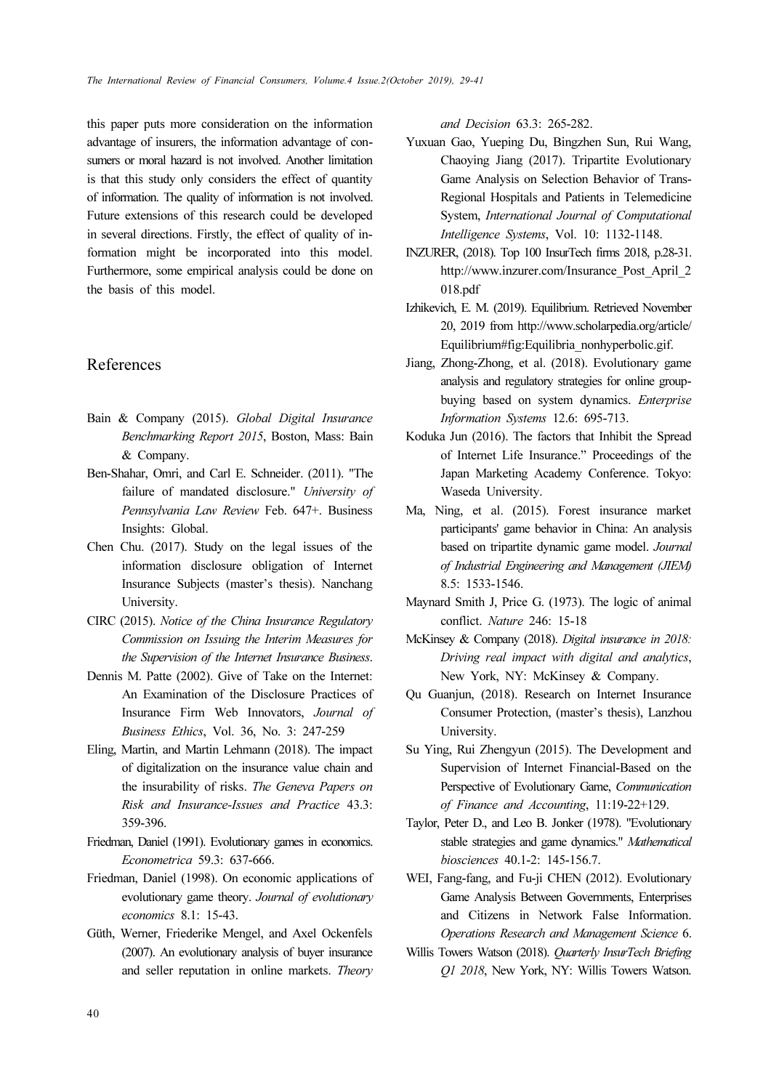this paper puts more consideration on the information advantage of insurers, the information advantage of consumers or moral hazard is not involved. Another limitation is that this study only considers the effect of quantity of information. The quality of information is not involved. Future extensions of this research could be developed in several directions. Firstly, the effect of quality of information might be incorporated into this model. Furthermore, some empirical analysis could be done on the basis of this model.

# References

- Bain & Company (2015). Global Digital Insurance Benchmarking Report 2015, Boston, Mass: Bain & Company.
- Ben-Shahar, Omri, and Carl E. Schneider. (2011). "The failure of mandated disclosure." University of Pennsylvania Law Review Feb. 647+. Business Insights: Global.
- Chen Chu. (2017). Study on the legal issues of the information disclosure obligation of Internet Insurance Subjects (master's thesis). Nanchang University.
- CIRC (2015). Notice of the China Insurance Regulatory Commission on Issuing the Interim Measures for the Supervision of the Internet Insurance Business.
- Dennis M. Patte (2002). Give of Take on the Internet: An Examination of the Disclosure Practices of Insurance Firm Web Innovators, Journal of Business Ethics, Vol. 36, No. 3: 247-259
- Eling, Martin, and Martin Lehmann (2018). The impact of digitalization on the insurance value chain and the insurability of risks. The Geneva Papers on Risk and Insurance-Issues and Practice 43.3: 359-396.
- Friedman, Daniel (1991). Evolutionary games in economics. Econometrica 59.3: 637-666.
- Friedman, Daniel (1998). On economic applications of evolutionary game theory. Journal of evolutionary economics 8.1: 15-43.
- Güth, Werner, Friederike Mengel, and Axel Ockenfels (2007). An evolutionary analysis of buyer insurance and seller reputation in online markets. Theory

and Decision 63.3: 265-282.

- Yuxuan Gao, Yueping Du, Bingzhen Sun, Rui Wang, Chaoying Jiang (2017). Tripartite Evolutionary Game Analysis on Selection Behavior of Trans-Regional Hospitals and Patients in Telemedicine System, International Journal of Computational Intelligence Systems, Vol. 10: 1132-1148.
- INZURER, (2018). Top 100 InsurTech firms 2018, p.28-31. http://www.inzurer.com/Insurance\_Post\_April\_2 018.pdf
- Izhikevich, E. M. (2019). Equilibrium. Retrieved November 20, 2019 from http://www.scholarpedia.org/article/ Equilibrium#fig:Equilibria\_nonhyperbolic.gif.
- Jiang, Zhong-Zhong, et al. (2018). Evolutionary game analysis and regulatory strategies for online groupbuying based on system dynamics. Enterprise Information Systems 12.6: 695-713.
- Koduka Jun (2016). The factors that Inhibit the Spread of Internet Life Insurance." Proceedings of the Japan Marketing Academy Conference. Tokyo: Waseda University.
- Ma, Ning, et al. (2015). Forest insurance market participants' game behavior in China: An analysis based on tripartite dynamic game model. Journal of Industrial Engineering and Management (JIEM) 8.5: 1533-1546.
- Maynard Smith J, Price G. (1973). The logic of animal conflict. Nature 246: 15-18
- McKinsey & Company (2018). Digital insurance in 2018: Driving real impact with digital and analytics, New York, NY: McKinsey & Company.
- Qu Guanjun, (2018). Research on Internet Insurance Consumer Protection, (master's thesis), Lanzhou University.
- Su Ying, Rui Zhengyun (2015). The Development and Supervision of Internet Financial-Based on the Perspective of Evolutionary Game, Communication of Finance and Accounting, 11:19-22+129.
- Taylor, Peter D., and Leo B. Jonker (1978). "Evolutionary stable strategies and game dynamics." Mathematical biosciences 40.1-2: 145-156.7.
- WEI, Fang-fang, and Fu-ji CHEN (2012). Evolutionary Game Analysis Between Governments, Enterprises and Citizens in Network False Information. Operations Research and Management Science 6.
- Willis Towers Watson (2018). *Ouarterly InsurTech Briefing* Q1 2018, New York, NY: Willis Towers Watson.